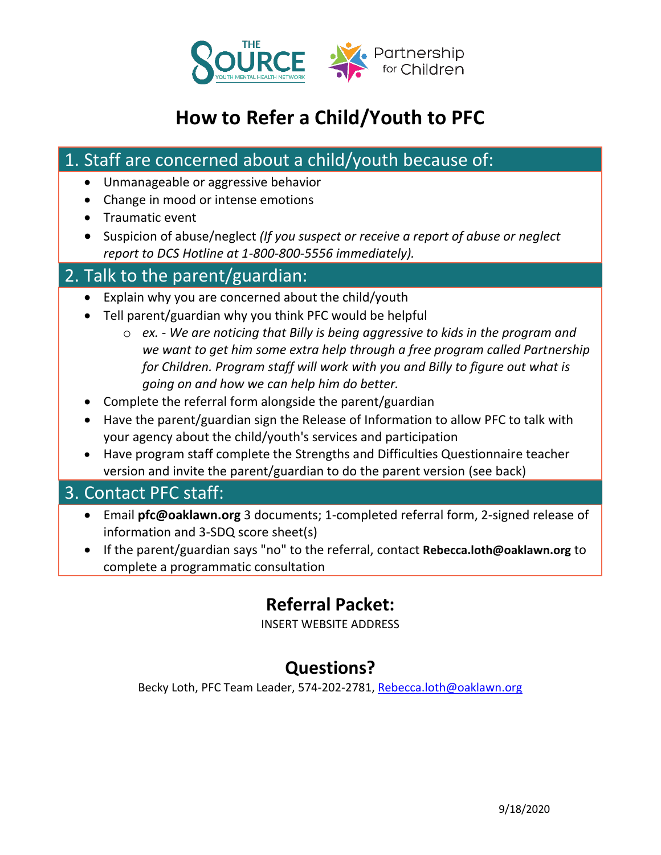

# **How to Refer a Child/Youth to PFC**

## 1. Staff are concerned about a child/youth because of:

- Unmanageable or aggressive behavior
- Change in mood or intense emotions
- Traumatic event
- Suspicion of abuse/neglect *(If you suspect or receive a report of abuse or neglect report to DCS Hotline at 1-800-800-5556 immediately).*

#### 2. Talk to the parent/guardian:

- Explain why you are concerned about the child/youth
- Tell parent/guardian why you think PFC would be helpful
	- o *ex. - We are noticing that Billy is being aggressive to kids in the program and we want to get him some extra help through a free program called Partnership for Children. Program staff will work with you and Billy to figure out what is going on and how we can help him do better.*
- Complete the referral form alongside the parent/guardian
- Have the parent/guardian sign the Release of Information to allow PFC to talk with your agency about the child/youth's services and participation
- Have program staff complete the Strengths and Difficulties Questionnaire teacher version and invite the parent/guardian to do the parent version (see back)

#### 3. Contact PFC staff:

- Email **pfc@oaklawn.org** 3 documents; 1-completed referral form, 2-signed release of information and 3-SDQ score sheet(s)
- If the parent/guardian says "no" to the referral, contact **[Rebecca.loth@oaklawn.org](mailto:Rebecca.loth@oaklawn.org)** to complete a programmatic consultation

# **Referral Packet:**

INSERT WEBSITE ADDRESS

# **Questions?**

Becky Loth, PFC Team Leader, 574-202-2781, [Rebecca.loth@oaklawn.org](mailto:Rebecca.loth@oaklawn.org)